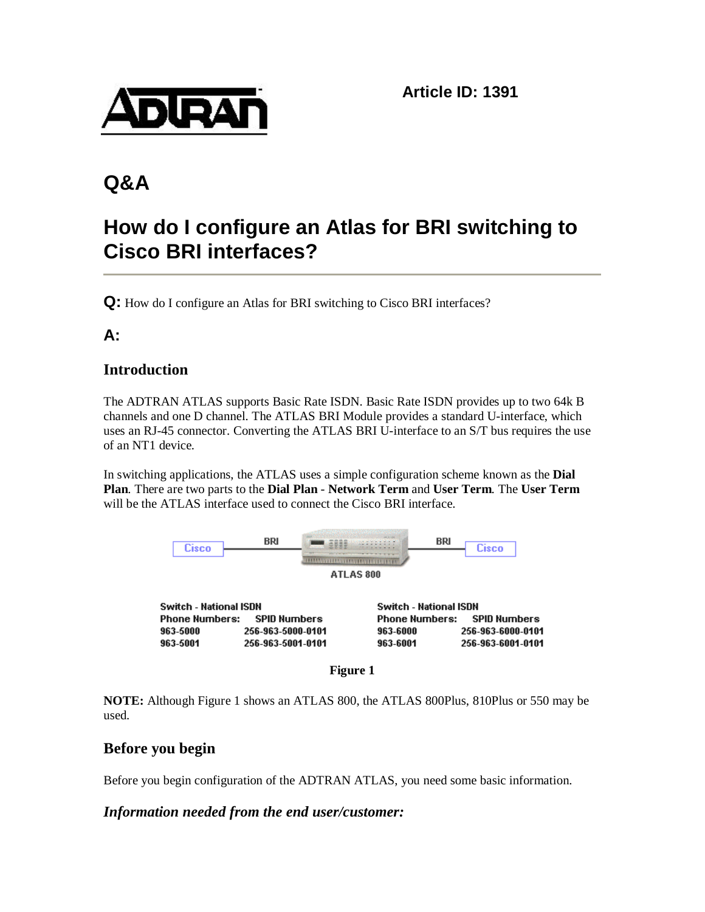

# **Q&A**

# **How do I configure an Atlas for BRI switching to Cisco BRI interfaces?**

**Q:** How do I configure an Atlas for BRI switching to Cisco BRI interfaces?

# **A:**

## **Introduction**

The ADTRAN ATLAS supports Basic Rate ISDN. Basic Rate ISDN provides up to two 64k B channels and one D channel. The ATLAS BRI Module provides a standard U-interface, which uses an RJ-45 connector. Converting the ATLAS BRI U-interface to an S/T bus requires the use of an NT1 device.

In switching applications, the ATLAS uses a simple configuration scheme known as the **Dial Plan**. There are two parts to the **Dial Plan** - **Network Term** and **User Term**. The **User Term** will be the ATLAS interface used to connect the Cisco BRI interface.



**Figure 1**

**NOTE:** Although Figure 1 shows an ATLAS 800, the ATLAS 800Plus, 810Plus or 550 may be used.

## **Before you begin**

Before you begin configuration of the ADTRAN ATLAS, you need some basic information.

### *Information needed from the end user/customer:*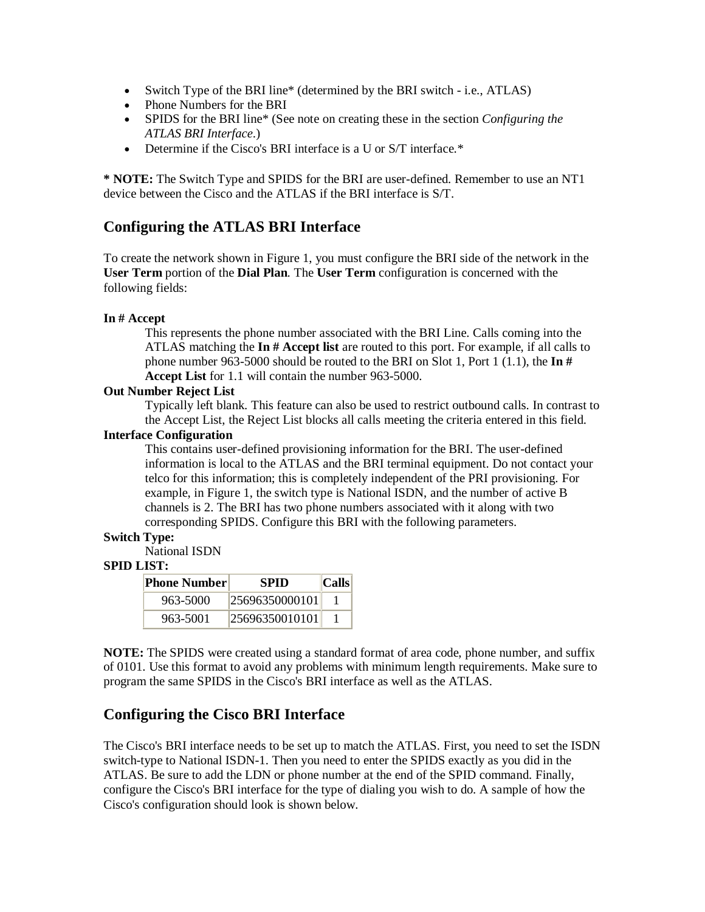- Switch Type of the BRI line\* (determined by the BRI switch i.e., ATLAS)
- Phone Numbers for the BRI
- SPIDS for the BRI line\* (See note on creating these in the section *Configuring the ATLAS BRI Interface*.)
- Determine if the Cisco's BRI interface is a U or S/T interface.\*

**\* NOTE:** The Switch Type and SPIDS for the BRI are user-defined. Remember to use an NT1 device between the Cisco and the ATLAS if the BRI interface is S/T.

## **Configuring the ATLAS BRI Interface**

To create the network shown in Figure 1, you must configure the BRI side of the network in the **User Term** portion of the **Dial Plan**. The **User Term** configuration is concerned with the following fields:

#### **In # Accept**

This represents the phone number associated with the BRI Line. Calls coming into the ATLAS matching the **In # Accept list** are routed to this port. For example, if all calls to phone number 963-5000 should be routed to the BRI on Slot 1, Port 1 (1.1), the **In # Accept List** for 1.1 will contain the number 963-5000.

#### **Out Number Reject List**

Typically left blank. This feature can also be used to restrict outbound calls. In contrast to the Accept List, the Reject List blocks all calls meeting the criteria entered in this field.

#### **Interface Configuration**

This contains user-defined provisioning information for the BRI. The user-defined information is local to the ATLAS and the BRI terminal equipment. Do not contact your telco for this information; this is completely independent of the PRI provisioning. For example, in Figure 1, the switch type is National ISDN, and the number of active B channels is 2. The BRI has two phone numbers associated with it along with two corresponding SPIDS. Configure this BRI with the following parameters.

#### **Switch Type:**

National ISDN

#### **SPID LIST:**

| Phone Number | <b>SPID</b>    | $ C$ alls |
|--------------|----------------|-----------|
| 963-5000     | 25696350000101 |           |
| 963-5001     | 25696350010101 |           |

**NOTE:** The SPIDS were created using a standard format of area code, phone number, and suffix of 0101. Use this format to avoid any problems with minimum length requirements. Make sure to program the same SPIDS in the Cisco's BRI interface as well as the ATLAS.

### **Configuring the Cisco BRI Interface**

The Cisco's BRI interface needs to be set up to match the ATLAS. First, you need to set the ISDN switch-type to National ISDN-1. Then you need to enter the SPIDS exactly as you did in the ATLAS. Be sure to add the LDN or phone number at the end of the SPID command. Finally, configure the Cisco's BRI interface for the type of dialing you wish to do. A sample of how the Cisco's configuration should look is shown below.